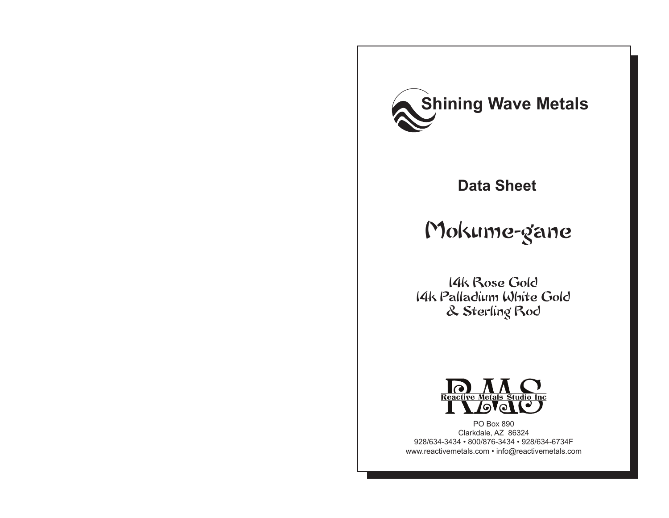

## **Data Sheet**

# Mokume-gane

14k Rose Gold 14k Palladium White Gold & Sterling Rod



PO Box 890 Clarkdale, AZ 86324 928/634-3434 • 800/876-3434 • 928/634-6734F www.reactivemetals.com • info@reactivemetals.com